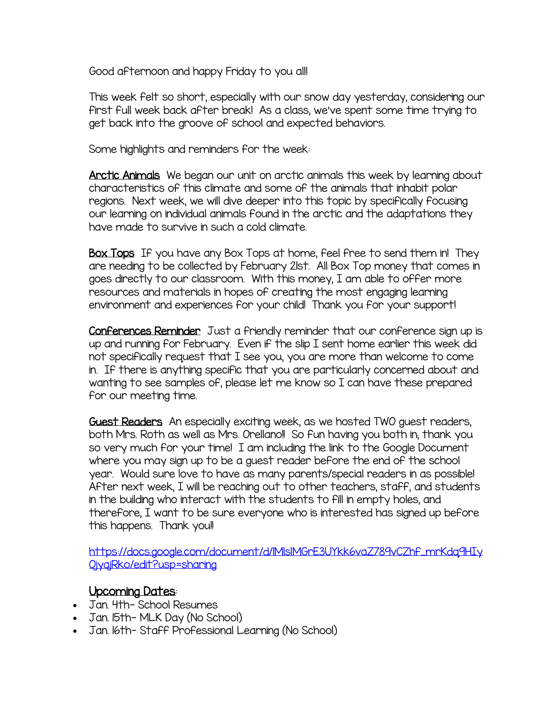Good afternoon and happy Friday to you all!

This week felt so short, especially with our snow day yesterday, considering our first full week back after break! As a class, we've spent some time trying to get back into the groove of school and expected behaviors.

Some highlights and reminders for the week:

Arctic Animals We began our unit on arctic animals this week by learning about characteristics of this climate and some of the animals that inhabit polar regions. Next week, we will dive deeper into this topic by specifically focusing our learning on individual animals found in the arctic and the adaptations they have made to survive in such a cold climate.

Box Tops If you have any Box Tops at home, feel free to send them in! They are needing to be collected by February 21st. All Box Top money that comes in goes directly to our classroom. With this money, I am able to offer more resources and materials in hopes of creating the most engaging learning environment and experiences for your child! Thank you for your support!

Conferences Reminder Just a friendly reminder that our conference sign up is up and running for February. Even if the slip I sent home earlier this week did not specifically request that I see you, you are more than welcome to come in. If there is anything specific that you are particularly concerned about and wanting to see samples of, please let me know so I can have these prepared for our meeting time.

Guest Readers An especially exciting week, as we hosted TWO guest readers, both Mrs. Roth as well as Mrs. Orellano!! So fun having you both in; thank you so very much for your time! I am including the link to the Google Document where you may sign up to be a guest reader before the end of the school year. Would sure love to have as many parents/special readers in as possible! After next week, I will be reaching out to other teachers, staff, and students in the building who interact with the students to fill in empty holes, and therefore, I want to be sure everyone who is interested has signed up before this happens. Thank you!!

[https://docs.google.com/document/d/1MlslMGrE3UYkk6vaZ789vCZhf\\_mrKdq9HIy](https://docs.google.com/document/d/1MlslMGrE3UYkk6vaZ789vCZhf_mrKdq9HIyOjyajRko/edit?usp=sharing) [OjyajRko/edit?usp=sharing](https://docs.google.com/document/d/1MlslMGrE3UYkk6vaZ789vCZhf_mrKdq9HIyOjyajRko/edit?usp=sharing)

## Upcoming Dates:

- Jan. 4th- School Resumes
- Jan. 15th- MLK Day (No School)
- Jan. 16th-Staff Professional Learning (No School)